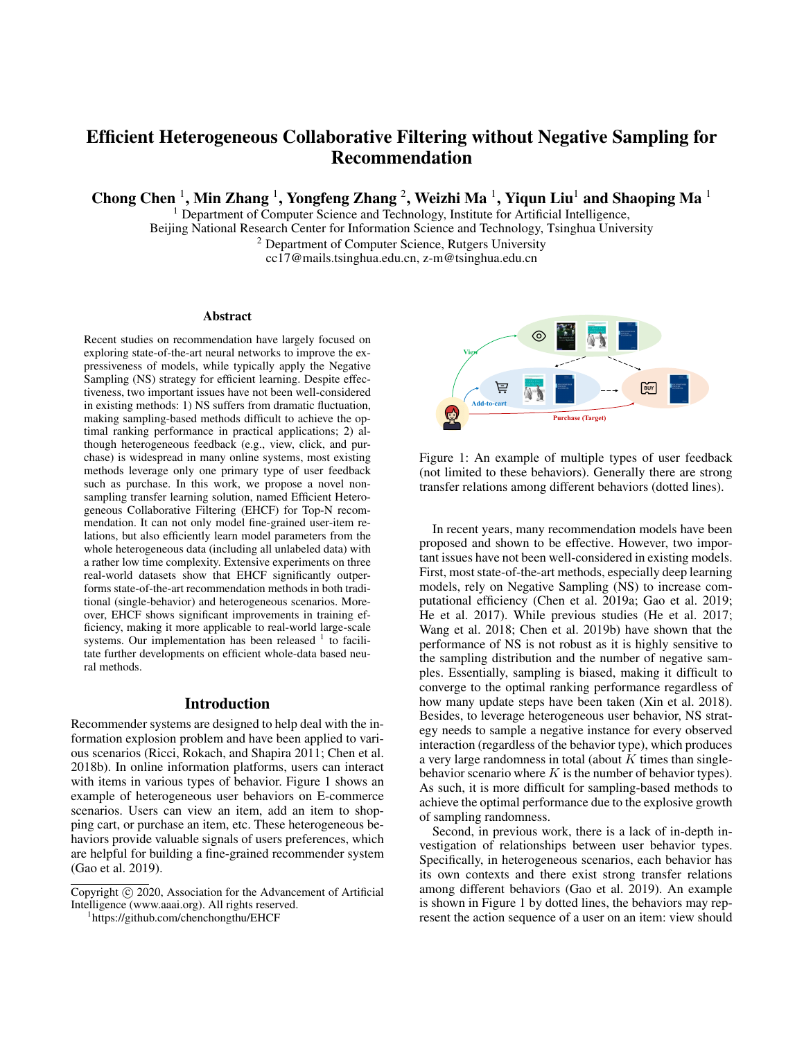# Efficient Heterogeneous Collaborative Filtering without Negative Sampling for Recommendation

Chong Chen  $^1$ , Min Zhang  $^1$ , Yongfeng Zhang  $^2$ , Weizhi Ma  $^1$ , Yiqun Liu $^1$  and Shaoping Ma  $^1$ 

<sup>1</sup> Department of Computer Science and Technology, Institute for Artificial Intelligence, Beijing National Research Center for Information Science and Technology, Tsinghua University

<sup>2</sup> Department of Computer Science, Rutgers University

cc17@mails.tsinghua.edu.cn, z-m@tsinghua.edu.cn

#### **Abstract**

Recent studies on recommendation have largely focused on exploring state-of-the-art neural networks to improve the expressiveness of models, while typically apply the Negative Sampling (NS) strategy for efficient learning. Despite effectiveness, two important issues have not been well-considered in existing methods: 1) NS suffers from dramatic fluctuation, making sampling-based methods difficult to achieve the optimal ranking performance in practical applications; 2) although heterogeneous feedback (e.g., view, click, and purchase) is widespread in many online systems, most existing methods leverage only one primary type of user feedback such as purchase. In this work, we propose a novel nonsampling transfer learning solution, named Efficient Heterogeneous Collaborative Filtering (EHCF) for Top-N recommendation. It can not only model fine-grained user-item relations, but also efficiently learn model parameters from the whole heterogeneous data (including all unlabeled data) with a rather low time complexity. Extensive experiments on three real-world datasets show that EHCF significantly outperforms state-of-the-art recommendation methods in both traditional (single-behavior) and heterogeneous scenarios. Moreover, EHCF shows significant improvements in training efficiency, making it more applicable to real-world large-scale systems. Our implementation has been released  $1$  to facilitate further developments on efficient whole-data based neural methods.

## Introduction

Recommender systems are designed to help deal with the information explosion problem and have been applied to various scenarios (Ricci, Rokach, and Shapira 2011; Chen et al. 2018b). In online information platforms, users can interact with items in various types of behavior. Figure 1 shows an example of heterogeneous user behaviors on E-commerce scenarios. Users can view an item, add an item to shopping cart, or purchase an item, etc. These heterogeneous behaviors provide valuable signals of users preferences, which are helpful for building a fine-grained recommender system (Gao et al. 2019).

1 https://github.com/chenchongthu/EHCF



Figure 1: An example of multiple types of user feedback (not limited to these behaviors). Generally there are strong transfer relations among different behaviors (dotted lines).

In recent years, many recommendation models have been proposed and shown to be effective. However, two important issues have not been well-considered in existing models. First, most state-of-the-art methods, especially deep learning models, rely on Negative Sampling (NS) to increase computational efficiency (Chen et al. 2019a; Gao et al. 2019; He et al. 2017). While previous studies (He et al. 2017; Wang et al. 2018; Chen et al. 2019b) have shown that the performance of NS is not robust as it is highly sensitive to the sampling distribution and the number of negative samples. Essentially, sampling is biased, making it difficult to converge to the optimal ranking performance regardless of how many update steps have been taken (Xin et al. 2018). Besides, to leverage heterogeneous user behavior, NS strategy needs to sample a negative instance for every observed interaction (regardless of the behavior type), which produces a very large randomness in total (about  $K$  times than singlebehavior scenario where  $K$  is the number of behavior types). As such, it is more difficult for sampling-based methods to achieve the optimal performance due to the explosive growth of sampling randomness.

Second, in previous work, there is a lack of in-depth investigation of relationships between user behavior types. Specifically, in heterogeneous scenarios, each behavior has its own contexts and there exist strong transfer relations among different behaviors (Gao et al. 2019). An example is shown in Figure 1 by dotted lines, the behaviors may represent the action sequence of a user on an item: view should

Copyright (c) 2020, Association for the Advancement of Artificial Intelligence (www.aaai.org). All rights reserved.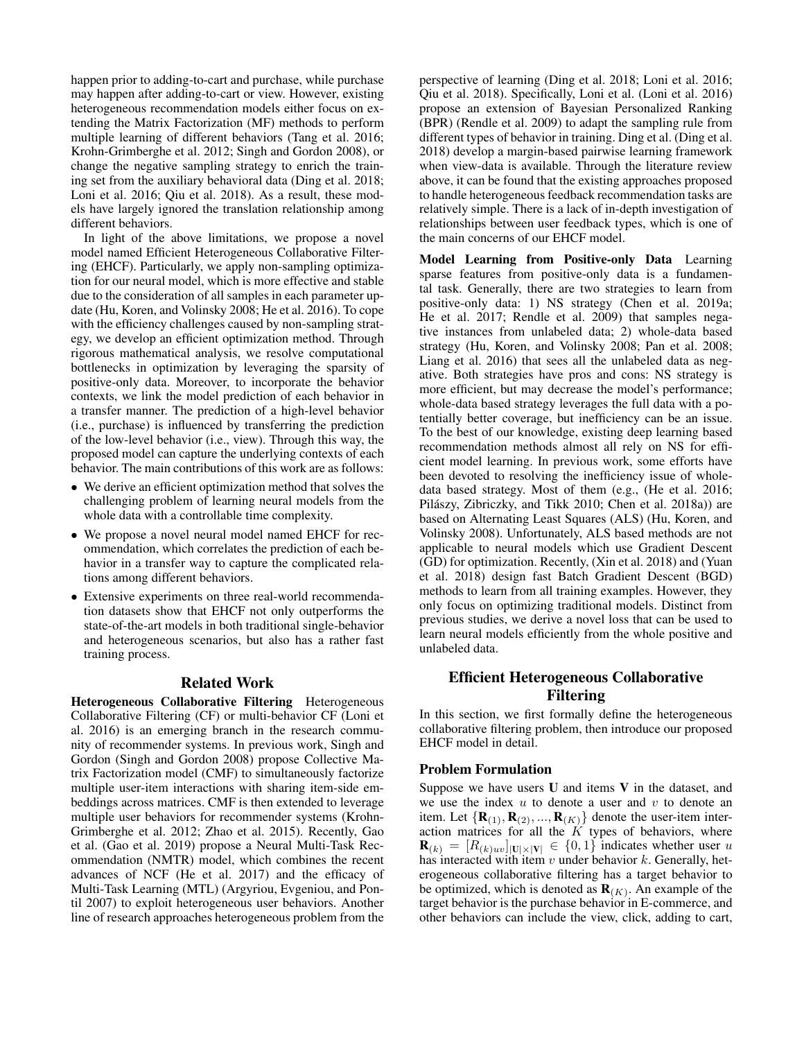happen prior to adding-to-cart and purchase, while purchase may happen after adding-to-cart or view. However, existing heterogeneous recommendation models either focus on extending the Matrix Factorization (MF) methods to perform multiple learning of different behaviors (Tang et al. 2016; Krohn-Grimberghe et al. 2012; Singh and Gordon 2008), or change the negative sampling strategy to enrich the training set from the auxiliary behavioral data (Ding et al. 2018; Loni et al. 2016; Qiu et al. 2018). As a result, these models have largely ignored the translation relationship among different behaviors.

In light of the above limitations, we propose a novel model named Efficient Heterogeneous Collaborative Filtering (EHCF). Particularly, we apply non-sampling optimization for our neural model, which is more effective and stable due to the consideration of all samples in each parameter update (Hu, Koren, and Volinsky 2008; He et al. 2016). To cope with the efficiency challenges caused by non-sampling strategy, we develop an efficient optimization method. Through rigorous mathematical analysis, we resolve computational bottlenecks in optimization by leveraging the sparsity of positive-only data. Moreover, to incorporate the behavior contexts, we link the model prediction of each behavior in a transfer manner. The prediction of a high-level behavior (i.e., purchase) is influenced by transferring the prediction of the low-level behavior (i.e., view). Through this way, the proposed model can capture the underlying contexts of each behavior. The main contributions of this work are as follows:

- We derive an efficient optimization method that solves the challenging problem of learning neural models from the whole data with a controllable time complexity.
- We propose a novel neural model named EHCF for recommendation, which correlates the prediction of each behavior in a transfer way to capture the complicated relations among different behaviors.
- Extensive experiments on three real-world recommendation datasets show that EHCF not only outperforms the state-of-the-art models in both traditional single-behavior and heterogeneous scenarios, but also has a rather fast training process.

## Related Work

Heterogeneous Collaborative Filtering Heterogeneous Collaborative Filtering (CF) or multi-behavior CF (Loni et al. 2016) is an emerging branch in the research community of recommender systems. In previous work, Singh and Gordon (Singh and Gordon 2008) propose Collective Matrix Factorization model (CMF) to simultaneously factorize multiple user-item interactions with sharing item-side embeddings across matrices. CMF is then extended to leverage multiple user behaviors for recommender systems (Krohn-Grimberghe et al. 2012; Zhao et al. 2015). Recently, Gao et al. (Gao et al. 2019) propose a Neural Multi-Task Recommendation (NMTR) model, which combines the recent advances of NCF (He et al. 2017) and the efficacy of Multi-Task Learning (MTL) (Argyriou, Evgeniou, and Pontil 2007) to exploit heterogeneous user behaviors. Another line of research approaches heterogeneous problem from the perspective of learning (Ding et al. 2018; Loni et al. 2016; Qiu et al. 2018). Specifically, Loni et al. (Loni et al. 2016) propose an extension of Bayesian Personalized Ranking (BPR) (Rendle et al. 2009) to adapt the sampling rule from different types of behavior in training. Ding et al. (Ding et al. 2018) develop a margin-based pairwise learning framework when view-data is available. Through the literature review above, it can be found that the existing approaches proposed to handle heterogeneous feedback recommendation tasks are relatively simple. There is a lack of in-depth investigation of relationships between user feedback types, which is one of the main concerns of our EHCF model.

Model Learning from Positive-only Data Learning sparse features from positive-only data is a fundamental task. Generally, there are two strategies to learn from positive-only data: 1) NS strategy (Chen et al. 2019a; He et al. 2017; Rendle et al. 2009) that samples negative instances from unlabeled data; 2) whole-data based strategy (Hu, Koren, and Volinsky 2008; Pan et al. 2008; Liang et al. 2016) that sees all the unlabeled data as negative. Both strategies have pros and cons: NS strategy is more efficient, but may decrease the model's performance; whole-data based strategy leverages the full data with a potentially better coverage, but inefficiency can be an issue. To the best of our knowledge, existing deep learning based recommendation methods almost all rely on NS for efficient model learning. In previous work, some efforts have been devoted to resolving the inefficiency issue of wholedata based strategy. Most of them (e.g., (He et al. 2016; Pilászy, Zibriczky, and Tikk 2010; Chen et al. 2018a)) are based on Alternating Least Squares (ALS) (Hu, Koren, and Volinsky 2008). Unfortunately, ALS based methods are not applicable to neural models which use Gradient Descent (GD) for optimization. Recently, (Xin et al. 2018) and (Yuan et al. 2018) design fast Batch Gradient Descent (BGD) methods to learn from all training examples. However, they only focus on optimizing traditional models. Distinct from previous studies, we derive a novel loss that can be used to learn neural models efficiently from the whole positive and unlabeled data.

# Efficient Heterogeneous Collaborative Filtering

In this section, we first formally define the heterogeneous collaborative filtering problem, then introduce our proposed EHCF model in detail.

#### Problem Formulation

Suppose we have users U and items V in the dataset, and we use the index  $u$  to denote a user and  $v$  to denote an item. Let  $\{R_{(1)}, R_{(2)}, ..., R_{(K)}\}$  denote the user-item interaction matrices for all the  $K$  types of behaviors, where  $\mathbf{R}_{(k)} = [R_{(k)uv}]_{|\mathbf{U}|\times|\mathbf{V}|} \in \{0,1\}$  indicates whether user u has interacted with item  $v$  under behavior  $k$ . Generally, heterogeneous collaborative filtering has a target behavior to be optimized, which is denoted as  $\mathbf{R}_{(K)}$ . An example of the target behavior is the purchase behavior in E-commerce, and other behaviors can include the view, click, adding to cart,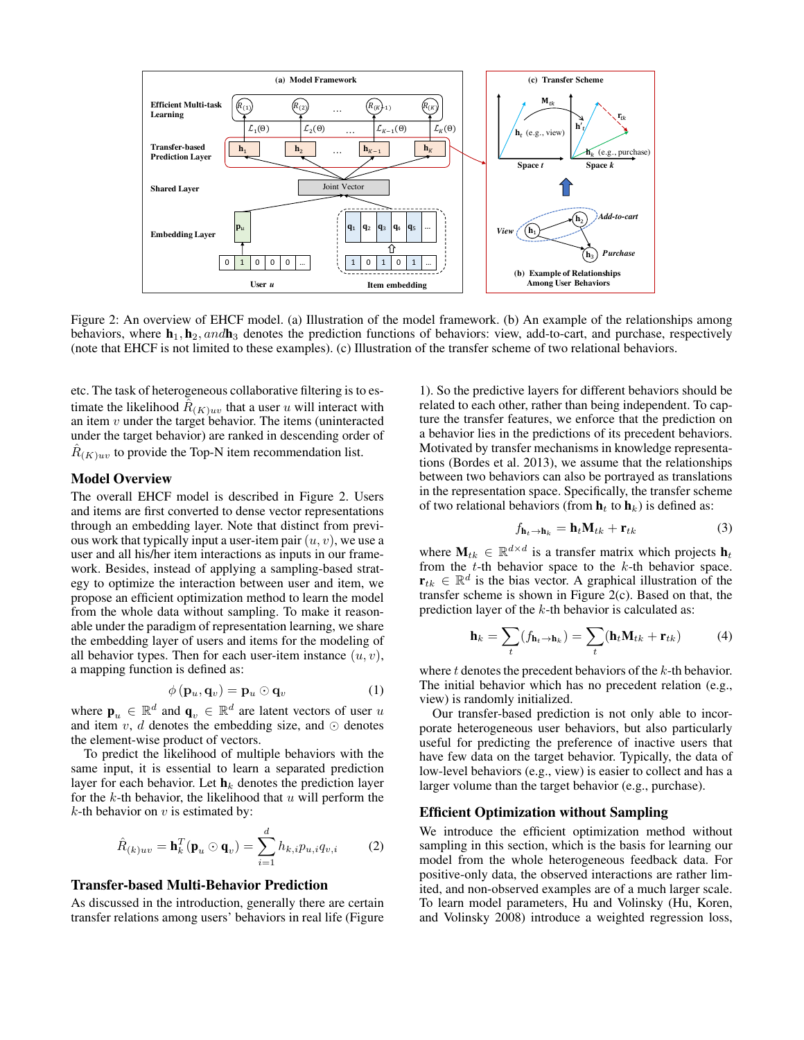

Figure 2: An overview of EHCF model. (a) Illustration of the model framework. (b) An example of the relationships among behaviors, where  $\mathbf{h}_1, \mathbf{h}_2,$  and  $\mathbf{h}_3$  denotes the prediction functions of behaviors: view, add-to-cart, and purchase, respectively (note that EHCF is not limited to these examples). (c) Illustration of the transfer scheme of two relational behaviors.

etc. The task of heterogeneous collaborative filtering is to estimate the likelihood  $\hat{R}_{(K)uv}$  that a user u will interact with an item  $v$  under the target behavior. The items (uninteracted under the target behavior) are ranked in descending order of  $\hat{R}_{(K)uv}$  to provide the Top-N item recommendation list.

## Model Overview

The overall EHCF model is described in Figure 2. Users and items are first converted to dense vector representations through an embedding layer. Note that distinct from previous work that typically input a user-item pair  $(u, v)$ , we use a user and all his/her item interactions as inputs in our framework. Besides, instead of applying a sampling-based strategy to optimize the interaction between user and item, we propose an efficient optimization method to learn the model from the whole data without sampling. To make it reasonable under the paradigm of representation learning, we share the embedding layer of users and items for the modeling of all behavior types. Then for each user-item instance  $(u, v)$ , a mapping function is defined as:

$$
\phi(\mathbf{p}_u, \mathbf{q}_v) = \mathbf{p}_u \odot \mathbf{q}_v \tag{1}
$$

where  $\mathbf{p}_u \in \mathbb{R}^d$  and  $\mathbf{q}_v \in \mathbb{R}^d$  are latent vectors of user u and item  $v, d$  denotes the embedding size, and  $\odot$  denotes the element-wise product of vectors.

To predict the likelihood of multiple behaviors with the same input, it is essential to learn a separated prediction layer for each behavior. Let  $\mathbf{h}_k$  denotes the prediction layer for the  $k$ -th behavior, the likelihood that  $u$  will perform the  $k$ -th behavior on  $v$  is estimated by:

$$
\hat{R}_{(k)uv} = \mathbf{h}_k^T(\mathbf{p}_u \odot \mathbf{q}_v) = \sum_{i=1}^d h_{k,i} p_{u,i} q_{v,i}
$$
 (2)

#### Transfer-based Multi-Behavior Prediction

As discussed in the introduction, generally there are certain transfer relations among users' behaviors in real life (Figure

1). So the predictive layers for different behaviors should be related to each other, rather than being independent. To capture the transfer features, we enforce that the prediction on a behavior lies in the predictions of its precedent behaviors. Motivated by transfer mechanisms in knowledge representations (Bordes et al. 2013), we assume that the relationships between two behaviors can also be portrayed as translations in the representation space. Specifically, the transfer scheme of two relational behaviors (from  $\mathbf{h}_t$  to  $\mathbf{h}_k$ ) is defined as:

$$
f_{\mathbf{h}_t \to \mathbf{h}_k} = \mathbf{h}_t \mathbf{M}_{tk} + \mathbf{r}_{tk} \tag{3}
$$

where  $\mathbf{M}_{tk} \in \mathbb{R}^{d \times d}$  is a transfer matrix which projects  $\mathbf{h}_t$ from the  $t$ -th behavior space to the  $k$ -th behavior space.  $\mathbf{r}_{tk} \in \mathbb{R}^d$  is the bias vector. A graphical illustration of the transfer scheme is shown in Figure 2(c). Based on that, the prediction layer of the k-th behavior is calculated as:

$$
\mathbf{h}_k = \sum_t (f_{\mathbf{h}_t \to \mathbf{h}_k}) = \sum_t (\mathbf{h}_t \mathbf{M}_{tk} + \mathbf{r}_{tk})
$$
(4)

where  $t$  denotes the precedent behaviors of the  $k$ -th behavior. The initial behavior which has no precedent relation (e.g., view) is randomly initialized.

Our transfer-based prediction is not only able to incorporate heterogeneous user behaviors, but also particularly useful for predicting the preference of inactive users that have few data on the target behavior. Typically, the data of low-level behaviors (e.g., view) is easier to collect and has a larger volume than the target behavior (e.g., purchase).

#### Efficient Optimization without Sampling

We introduce the efficient optimization method without sampling in this section, which is the basis for learning our model from the whole heterogeneous feedback data. For positive-only data, the observed interactions are rather limited, and non-observed examples are of a much larger scale. To learn model parameters, Hu and Volinsky (Hu, Koren, and Volinsky 2008) introduce a weighted regression loss,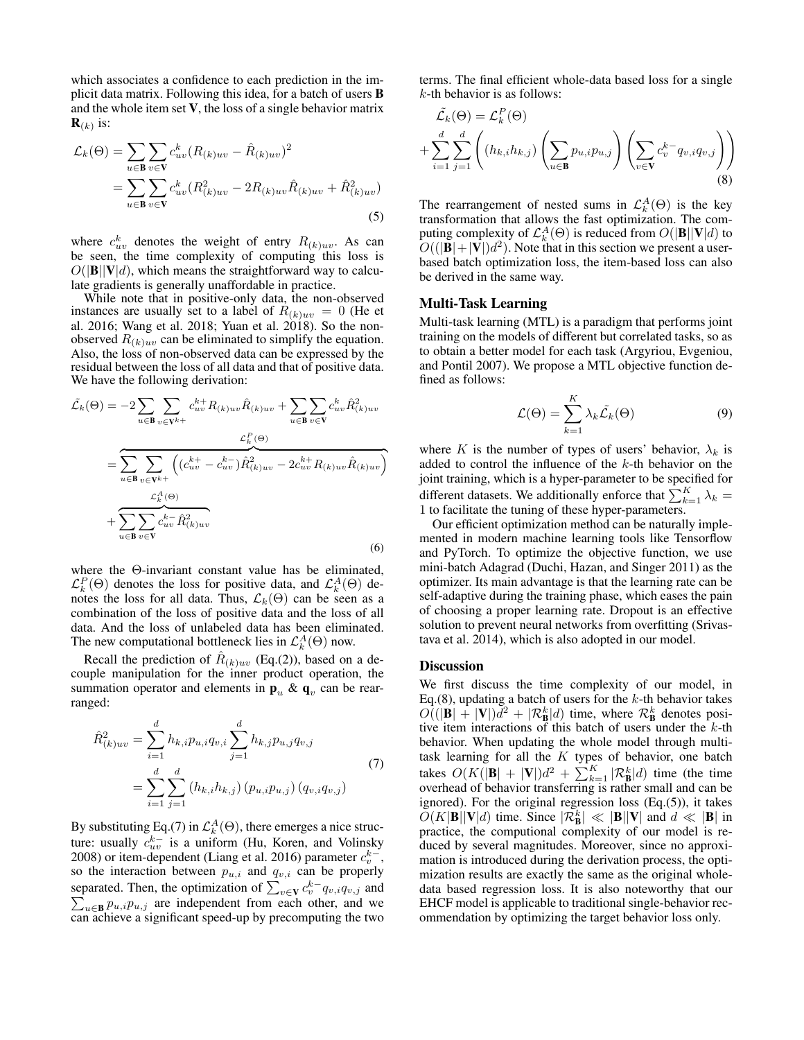which associates a confidence to each prediction in the implicit data matrix. Following this idea, for a batch of users B and the whole item set V, the loss of a single behavior matrix  $\mathbf{R}_{(k)}$  is:

$$
\mathcal{L}_{k}(\Theta) = \sum_{u \in \mathbf{B}} \sum_{v \in \mathbf{V}} c_{uv}^{k} (R_{(k)uv} - \hat{R}_{(k)uv})^{2}
$$
  
= 
$$
\sum_{u \in \mathbf{B}} \sum_{v \in \mathbf{V}} c_{uv}^{k} (R_{(k)uv}^{2} - 2R_{(k)uv}\hat{R}_{(k)uv} + \hat{R}_{(k)uv}^{2})
$$
(5)

where  $c_{uv}^k$  denotes the weight of entry  $R_{(k)uv}$ . As can be seen, the time complexity of computing this loss is  $O(|\mathbf{B}||\mathbf{V}|d)$ , which means the straightforward way to calculate gradients is generally unaffordable in practice.

While note that in positive-only data, the non-observed instances are usually set to a label of  $R_{(k)uv} = 0$  (He et al. 2016; Wang et al. 2018; Yuan et al. 2018). So the nonobserved  $R_{(k)uv}$  can be eliminated to simplify the equation. Also, the loss of non-observed data can be expressed by the residual between the loss of all data and that of positive data. We have the following derivation:

$$
\tilde{\mathcal{L}}_k(\Theta) = -2 \sum_{u \in \mathbf{B}} \sum_{v \in \mathbf{V}^{k+}} c_{uv}^{k+} R_{(k)uv} \hat{R}_{(k)uv} + \sum_{u \in \mathbf{B}} \sum_{v \in \mathbf{V}} c_{uv}^k \hat{R}_{(k)uv}^2
$$
\n
$$
= \sum_{u \in \mathbf{B}} \sum_{v \in \mathbf{V}^{k+}} \left( (c_{uv}^{k+} - c_{uv}^{k-}) \hat{R}_{(k)uv}^2 - 2c_{uv}^{k+} R_{(k)uv} \hat{R}_{(k)uv} \right)
$$
\n
$$
+ \sum_{u \in \mathbf{B}} \sum_{v \in \mathbf{V}} c_{uv}^{k-} \hat{R}_{(k)uv}^2
$$
\n(6)

where the Θ-invariant constant value has be eliminated,  $\mathcal{L}_{k}^{P}(\Theta)$  denotes the loss for positive data, and  $\mathcal{L}_{k}^{A}(\Theta)$  denotes the loss for all data. Thus,  $\mathcal{L}_k(\Theta)$  can be seen as a combination of the loss of positive data and the loss of all data. And the loss of unlabeled data has been eliminated. The new computational bottleneck lies in  $\mathcal{L}_{k}^{A}(\Theta)$  now.

Recall the prediction of  $\hat{R}_{(k)uv}$  (Eq.(2)), based on a decouple manipulation for the inner product operation, the summation operator and elements in  $\mathbf{p}_u$  &  $\mathbf{q}_v$  can be rearranged:

$$
\hat{R}_{(k)uv}^{2} = \sum_{i=1}^{d} h_{k,i} p_{u,i} q_{v,i} \sum_{j=1}^{d} h_{k,j} p_{u,j} q_{v,j}
$$
\n
$$
= \sum_{i=1}^{d} \sum_{j=1}^{d} (h_{k,i} h_{k,j}) (p_{u,i} p_{u,j}) (q_{v,i} q_{v,j})
$$
\n(7)

By substituting Eq.(7) in  $\mathcal{L}_{k}^{A}(\Theta)$ , there emerges a nice structure: usually  $c_{uv}^{k-}$  is a uniform (Hu, Koren, and Volinsky 2008) or item-dependent (Liang et al. 2016) parameter  $c_v^{k-}$ , so the interaction between  $p_{u,i}$  and  $q_{v,i}$  can be properly separated. Then, the optimization of  $\sum_{v \in \mathbf{V}} c_v^{k-1} q_{v,i} q_{v,j}$  and separated. Then, the optimization of  $\sum_{v \in \mathbf{V}} c_v q_{v,i} q_{v,j}$  and  $\sum_{u \in \mathbf{B}} p_{u,i} p_{u,j}$  are independent from each other, and we can achieve a significant speed-up by precomputing the two terms. The final efficient whole-data based loss for a single  $k$ -th behavior is as follows:

$$
\tilde{\mathcal{L}}_k(\Theta) = \mathcal{L}_k^P(\Theta)
$$
\n
$$
+ \sum_{i=1}^d \sum_{j=1}^d \left( (h_{k,i} h_{k,j}) \left( \sum_{u \in \mathbf{B}} p_{u,i} p_{u,j} \right) \left( \sum_{v \in \mathbf{V}} c_v^{k-} q_{v,i} q_{v,j} \right) \right)
$$
\n(8)

The rearrangement of nested sums in  $\mathcal{L}_{k}^{A}(\Theta)$  is the key transformation that allows the fast optimization. The computing complexity of  $\mathcal{L}_{k}^{A}(\Theta)$  is reduced from  $O(|\mathbf{B}||\mathbf{V}|d)$  to  $O((|\mathbf{B}|+|\mathbf{V}|)d^2)$ . Note that in this section we present a userbased batch optimization loss, the item-based loss can also be derived in the same way.

## Multi-Task Learning

Multi-task learning (MTL) is a paradigm that performs joint training on the models of different but correlated tasks, so as to obtain a better model for each task (Argyriou, Evgeniou, and Pontil 2007). We propose a MTL objective function defined as follows:

$$
\mathcal{L}(\Theta) = \sum_{k=1}^{K} \lambda_k \tilde{\mathcal{L}}_k(\Theta)
$$
\n(9)

where K is the number of types of users' behavior,  $\lambda_k$  is added to control the influence of the k-th behavior on the joint training, which is a hyper-parameter to be specified for different datasets. We additionally enforce that  $\sum_{k=1}^{K} \lambda_k =$ 1 to facilitate the tuning of these hyper-parameters.

Our efficient optimization method can be naturally implemented in modern machine learning tools like Tensorflow and PyTorch. To optimize the objective function, we use mini-batch Adagrad (Duchi, Hazan, and Singer 2011) as the optimizer. Its main advantage is that the learning rate can be self-adaptive during the training phase, which eases the pain of choosing a proper learning rate. Dropout is an effective solution to prevent neural networks from overfitting (Srivastava et al. 2014), which is also adopted in our model.

#### Discussion

We first discuss the time complexity of our model, in Eq.(8), updating a batch of users for the  $k$ -th behavior takes  $O((|\mathbf{B}| + |\mathbf{V}|)d^2 + |\mathcal{R}_{\mathbf{B}}^k|d)$  time, where  $\mathcal{R}_{\mathbf{B}}^k$  denotes positive item interactions of this batch of users under the  $k$ -th behavior. When updating the whole model through multitask learning for all the  $K$  types of behavior, one batch takes  $O(K(|\mathbf{B}| + |\mathbf{V}|)d^2 + \sum_{k=1}^K |\mathcal{R}_{\mathbf{B}}^k|d)$  time (the time overhead of behavior transferring is rather small and can be ignored). For the original regression loss  $(Eq.(5))$ , it takes  $\tilde{O}(K|\mathbf{B}||\mathbf{V}|d)$  time. Since  $|\mathcal{R}_{\mathbf{B}}^k| \ll |\mathbf{B}||\mathbf{V}|$  and  $d \ll |\mathbf{B}|$  in practice, the computional complexity of our model is reduced by several magnitudes. Moreover, since no approximation is introduced during the derivation process, the optimization results are exactly the same as the original wholedata based regression loss. It is also noteworthy that our EHCF model is applicable to traditional single-behavior recommendation by optimizing the target behavior loss only.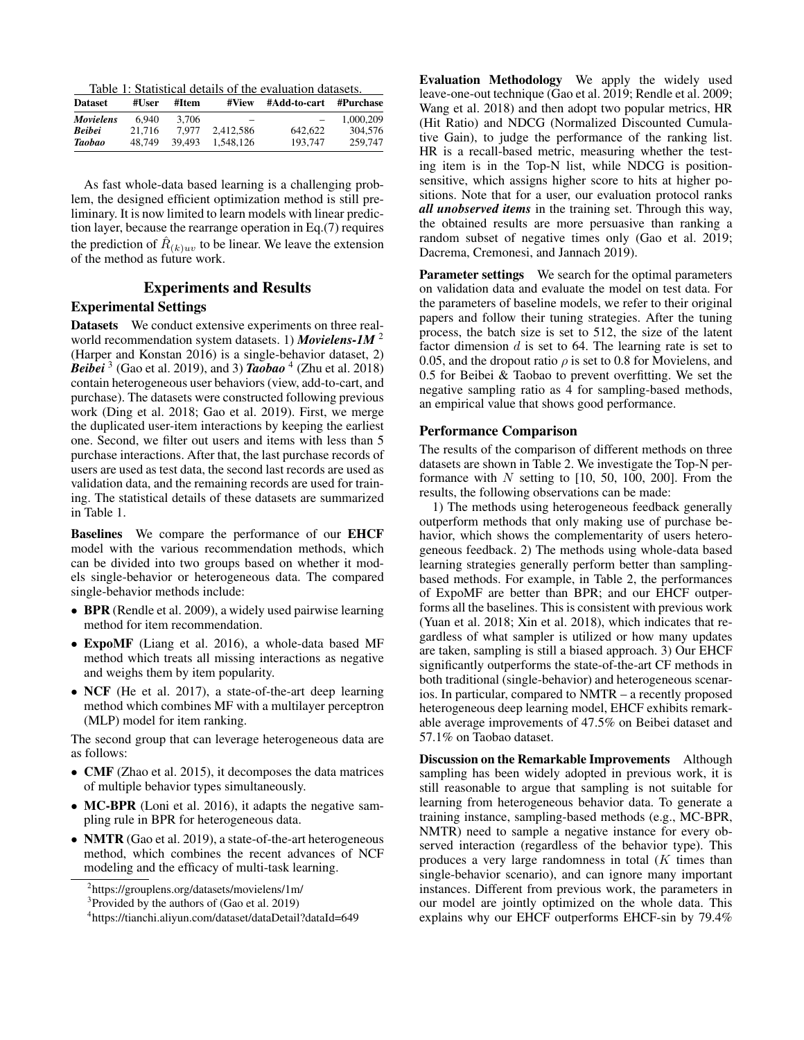Table 1: Statistical details of the evaluation datasets.

| <b>Dataset</b>   | #User  | #Item  | #View             | #Add-to-cart             | #Purchase |
|------------------|--------|--------|-------------------|--------------------------|-----------|
| <b>Movielens</b> | 6.940  | 3.706  | $\hspace{0.05cm}$ | $\overline{\phantom{0}}$ | 1.000.209 |
| <b>Beibei</b>    | 21.716 | 7.977  | 2.412.586         | 642.622                  | 304,576   |
| Taobao           | 48.749 | 39.493 | 1.548.126         | 193.747                  | 259,747   |

As fast whole-data based learning is a challenging problem, the designed efficient optimization method is still preliminary. It is now limited to learn models with linear prediction layer, because the rearrange operation in Eq.(7) requires the prediction of  $\hat{R}_{(k)uv}$  to be linear. We leave the extension of the method as future work.

## Experiments and Results

## Experimental Settings

Datasets We conduct extensive experiments on three realworld recommendation system datasets. 1) *Movielens-1M* <sup>2</sup> (Harper and Konstan 2016) is a single-behavior dataset, 2) *Beibei* <sup>3</sup> (Gao et al. 2019), and 3) *Taobao* <sup>4</sup> (Zhu et al. 2018) contain heterogeneous user behaviors (view, add-to-cart, and purchase). The datasets were constructed following previous work (Ding et al. 2018; Gao et al. 2019). First, we merge the duplicated user-item interactions by keeping the earliest one. Second, we filter out users and items with less than 5 purchase interactions. After that, the last purchase records of users are used as test data, the second last records are used as validation data, and the remaining records are used for training. The statistical details of these datasets are summarized in Table 1.

Baselines We compare the performance of our EHCF model with the various recommendation methods, which can be divided into two groups based on whether it models single-behavior or heterogeneous data. The compared single-behavior methods include:

- BPR (Rendle et al. 2009), a widely used pairwise learning method for item recommendation.
- ExpoMF (Liang et al. 2016), a whole-data based MF method which treats all missing interactions as negative and weighs them by item popularity.
- NCF (He et al. 2017), a state-of-the-art deep learning method which combines MF with a multilayer perceptron (MLP) model for item ranking.

The second group that can leverage heterogeneous data are as follows:

- CMF (Zhao et al. 2015), it decomposes the data matrices of multiple behavior types simultaneously.
- MC-BPR (Loni et al. 2016), it adapts the negative sampling rule in BPR for heterogeneous data.
- NMTR (Gao et al. 2019), a state-of-the-art heterogeneous method, which combines the recent advances of NCF modeling and the efficacy of multi-task learning.

Evaluation Methodology We apply the widely used leave-one-out technique (Gao et al. 2019; Rendle et al. 2009; Wang et al. 2018) and then adopt two popular metrics, HR (Hit Ratio) and NDCG (Normalized Discounted Cumulative Gain), to judge the performance of the ranking list. HR is a recall-based metric, measuring whether the testing item is in the Top-N list, while NDCG is positionsensitive, which assigns higher score to hits at higher positions. Note that for a user, our evaluation protocol ranks *all unobserved items* in the training set. Through this way, the obtained results are more persuasive than ranking a random subset of negative times only (Gao et al. 2019; Dacrema, Cremonesi, and Jannach 2019).

Parameter settings We search for the optimal parameters on validation data and evaluate the model on test data. For the parameters of baseline models, we refer to their original papers and follow their tuning strategies. After the tuning process, the batch size is set to 512, the size of the latent factor dimension  $d$  is set to 64. The learning rate is set to 0.05, and the dropout ratio  $\rho$  is set to 0.8 for Movielens, and 0.5 for Beibei & Taobao to prevent overfitting. We set the negative sampling ratio as 4 for sampling-based methods, an empirical value that shows good performance.

## Performance Comparison

The results of the comparison of different methods on three datasets are shown in Table 2. We investigate the Top-N performance with  $N$  setting to [10, 50, 100, 200]. From the results, the following observations can be made:

1) The methods using heterogeneous feedback generally outperform methods that only making use of purchase behavior, which shows the complementarity of users heterogeneous feedback. 2) The methods using whole-data based learning strategies generally perform better than samplingbased methods. For example, in Table 2, the performances of ExpoMF are better than BPR; and our EHCF outperforms all the baselines. This is consistent with previous work (Yuan et al. 2018; Xin et al. 2018), which indicates that regardless of what sampler is utilized or how many updates are taken, sampling is still a biased approach. 3) Our EHCF significantly outperforms the state-of-the-art CF methods in both traditional (single-behavior) and heterogeneous scenarios. In particular, compared to NMTR – a recently proposed heterogeneous deep learning model, EHCF exhibits remarkable average improvements of 47.5% on Beibei dataset and 57.1% on Taobao dataset.

Discussion on the Remarkable Improvements Although sampling has been widely adopted in previous work, it is still reasonable to argue that sampling is not suitable for learning from heterogeneous behavior data. To generate a training instance, sampling-based methods (e.g., MC-BPR, NMTR) need to sample a negative instance for every observed interaction (regardless of the behavior type). This produces a very large randomness in total  $(K$  times than single-behavior scenario), and can ignore many important instances. Different from previous work, the parameters in our model are jointly optimized on the whole data. This explains why our EHCF outperforms EHCF-sin by 79.4%

<sup>2</sup> https://grouplens.org/datasets/movielens/1m/

<sup>&</sup>lt;sup>3</sup> Provided by the authors of (Gao et al. 2019)

<sup>4</sup> https://tianchi.aliyun.com/dataset/dataDetail?dataId=649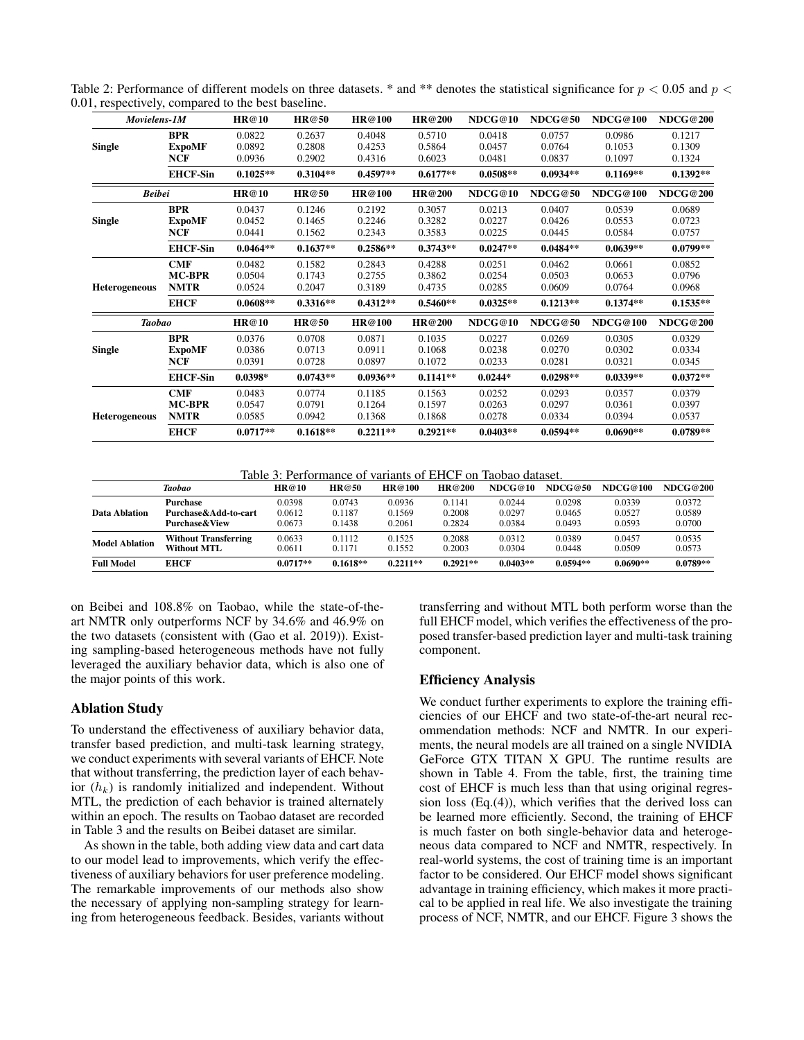| Movielens-1M         |                             | <b>HR@10</b>     | <b>HR@50</b>     | HR@100           | HR@200           | NDCG@10          | NDCG@50          | <b>NDCG@100</b>  | <b>NDCG@200</b>  |
|----------------------|-----------------------------|------------------|------------------|------------------|------------------|------------------|------------------|------------------|------------------|
|                      | <b>BPR</b>                  | 0.0822<br>0.0892 | 0.2637<br>0.2808 | 0.4048<br>0.4253 | 0.5710<br>0.5864 | 0.0418<br>0.0457 | 0.0757<br>0.0764 | 0.0986<br>0.1053 | 0.1217<br>0.1309 |
| <b>Single</b>        | <b>ExpoMF</b><br><b>NCF</b> | 0.0936           | 0.2902           | 0.4316           | 0.6023           | 0.0481           | 0.0837           | 0.1097           | 0.1324           |
|                      | <b>EHCF-Sin</b>             | $0.1025**$       | $0.3104**$       | $0.4597**$       | $0.6177**$       | $0.0508**$       | $0.0934**$       | $0.1169**$       | $0.1392**$       |
| <b>Beibei</b>        |                             | HR@10            | HR@50            | HR@100           | HR@200           | NDCG@10          | NDCG@50          | <b>NDCG@100</b>  | <b>NDCG@200</b>  |
|                      | <b>BPR</b>                  | 0.0437           | 0.1246           | 0.2192           | 0.3057           | 0.0213           | 0.0407           | 0.0539           | 0.0689           |
| <b>Single</b>        | <b>ExpoMF</b>               | 0.0452           | 0.1465           | 0.2246           | 0.3282           | 0.0227           | 0.0426           | 0.0553           | 0.0723           |
|                      | NCF                         | 0.0441           | 0.1562           | 0.2343           | 0.3583           | 0.0225           | 0.0445           | 0.0584           | 0.0757           |
|                      | <b>EHCF-Sin</b>             | $0.0464**$       | $0.1637**$       | $0.2586**$       | $0.3743**$       | $0.0247**$       | $0.0484**$       | $0.0639**$       | $0.0799**$       |
|                      | CMF                         | 0.0482           | 0.1582           | 0.2843           | 0.4288           | 0.0251           | 0.0462           | 0.0661           | 0.0852           |
|                      | <b>MC-BPR</b>               | 0.0504           | 0.1743           | 0.2755           | 0.3862           | 0.0254           | 0.0503           | 0.0653           | 0.0796           |
| <b>Heterogeneous</b> | <b>NMTR</b>                 | 0.0524           | 0.2047           | 0.3189           | 0.4735           | 0.0285           | 0.0609           | 0.0764           | 0.0968           |
|                      | <b>EHCF</b>                 | $0.0608**$       | $0.3316**$       | $0.4312**$       | $0.5460**$       | $0.0325**$       | $0.1213**$       | $0.1374**$       | $0.1535**$       |
| <b>Taobao</b>        |                             | HR@10            | HR@50            | HR@100           | HR@200           | NDCG@10          | NDCG@50          | <b>NDCG@100</b>  | <b>NDCG@200</b>  |
|                      | <b>BPR</b>                  | 0.0376           | 0.0708           | 0.0871           | 0.1035           | 0.0227           | 0.0269           | 0.0305           | 0.0329           |
| <b>Single</b>        | <b>ExpoMF</b>               | 0.0386           | 0.0713           | 0.0911           | 0.1068           | 0.0238           | 0.0270           | 0.0302           | 0.0334           |
|                      | NCF                         | 0.0391           | 0.0728           | 0.0897           | 0.1072           | 0.0233           | 0.0281           | 0.0321           | 0.0345           |
|                      | <b>EHCF-Sin</b>             | $0.0398*$        | $0.0743**$       | $0.0936**$       | $0.1141**$       | $0.0244*$        | $0.0298**$       | $0.0339**$       | $0.0372**$       |
|                      | <b>CMF</b>                  | 0.0483           | 0.0774           | 0.1185           | 0.1563           | 0.0252           | 0.0293           | 0.0357           | 0.0379           |
|                      | <b>MC-BPR</b>               | 0.0547           | 0.0791           | 0.1264           | 0.1597           | 0.0263           | 0.0297           | 0.0361           | 0.0397           |
| <b>Heterogeneous</b> | <b>NMTR</b>                 | 0.0585           | 0.0942           | 0.1368           | 0.1868           | 0.0278           | 0.0334           | 0.0394           | 0.0537           |
|                      | <b>EHCF</b>                 | $0.0717**$       | $0.1618**$       | $0.2211**$       | $0.2921**$       | $0.0403**$       | $0.0594**$       | $0.0690**$       | $0.0789**$       |

Table 2: Performance of different models on three datasets. \* and \*\* denotes the statistical significance for  $p < 0.05$  and  $p <$ 0.01, respectively, compared to the best baseline.

Table 3: Performance of variants of EHCF on Taobao dataset.

|                       | <b>Taobao</b>               | HR@10      | HR@50      | HR@100     | HR@200     | NDCG@10    | NDCG@50    | NDCG@100   | NDCG@200   |
|-----------------------|-----------------------------|------------|------------|------------|------------|------------|------------|------------|------------|
| Data Ablation         | <b>Purchase</b>             | 0.0398     | 0.0743     | 0.0936     | 0.1141     | 0.0244     | 0.0298     | 0.0339     | 0.0372     |
|                       | Purchase&Add-to-cart        | 0.0612     | 0.1187     | 0.1569     | 0.2008     | 0.0297     | 0.0465     | 0.0527     | 0.0589     |
|                       | <b>Purchase &amp; View</b>  | 0.0673     | 0.1438     | 0.2061     | 0.2824     | 0.0384     | 0.0493     | 0.0593     | 0.0700     |
| <b>Model Ablation</b> | <b>Without Transferring</b> | 0.0633     | 0.1112     | 0.1525     | 0.2088     | 0.0312     | 0.0389     | 0.0457     | 0.0535     |
|                       | <b>Without MTL</b>          | 0.0611     | 0.1171     | 0.1552     | 0.2003     | 0.0304     | 0.0448     | 0.0509     | 0.0573     |
| <b>Full Model</b>     | <b>EHCF</b>                 | $0.0717**$ | $0.1618**$ | $0.2211**$ | $0.2921**$ | $0.0403**$ | $0.0594**$ | $0.0690**$ | $0.0789**$ |

on Beibei and 108.8% on Taobao, while the state-of-theart NMTR only outperforms NCF by 34.6% and 46.9% on the two datasets (consistent with (Gao et al. 2019)). Existing sampling-based heterogeneous methods have not fully leveraged the auxiliary behavior data, which is also one of the major points of this work.

# Ablation Study

To understand the effectiveness of auxiliary behavior data, transfer based prediction, and multi-task learning strategy, we conduct experiments with several variants of EHCF. Note that without transferring, the prediction layer of each behavior  $(h_k)$  is randomly initialized and independent. Without MTL, the prediction of each behavior is trained alternately within an epoch. The results on Taobao dataset are recorded in Table 3 and the results on Beibei dataset are similar.

As shown in the table, both adding view data and cart data to our model lead to improvements, which verify the effectiveness of auxiliary behaviors for user preference modeling. The remarkable improvements of our methods also show the necessary of applying non-sampling strategy for learning from heterogeneous feedback. Besides, variants without

transferring and without MTL both perform worse than the full EHCF model, which verifies the effectiveness of the proposed transfer-based prediction layer and multi-task training component.

## Efficiency Analysis

We conduct further experiments to explore the training efficiencies of our EHCF and two state-of-the-art neural recommendation methods: NCF and NMTR. In our experiments, the neural models are all trained on a single NVIDIA GeForce GTX TITAN X GPU. The runtime results are shown in Table 4. From the table, first, the training time cost of EHCF is much less than that using original regression loss (Eq.(4)), which verifies that the derived loss can be learned more efficiently. Second, the training of EHCF is much faster on both single-behavior data and heterogeneous data compared to NCF and NMTR, respectively. In real-world systems, the cost of training time is an important factor to be considered. Our EHCF model shows significant advantage in training efficiency, which makes it more practical to be applied in real life. We also investigate the training process of NCF, NMTR, and our EHCF. Figure 3 shows the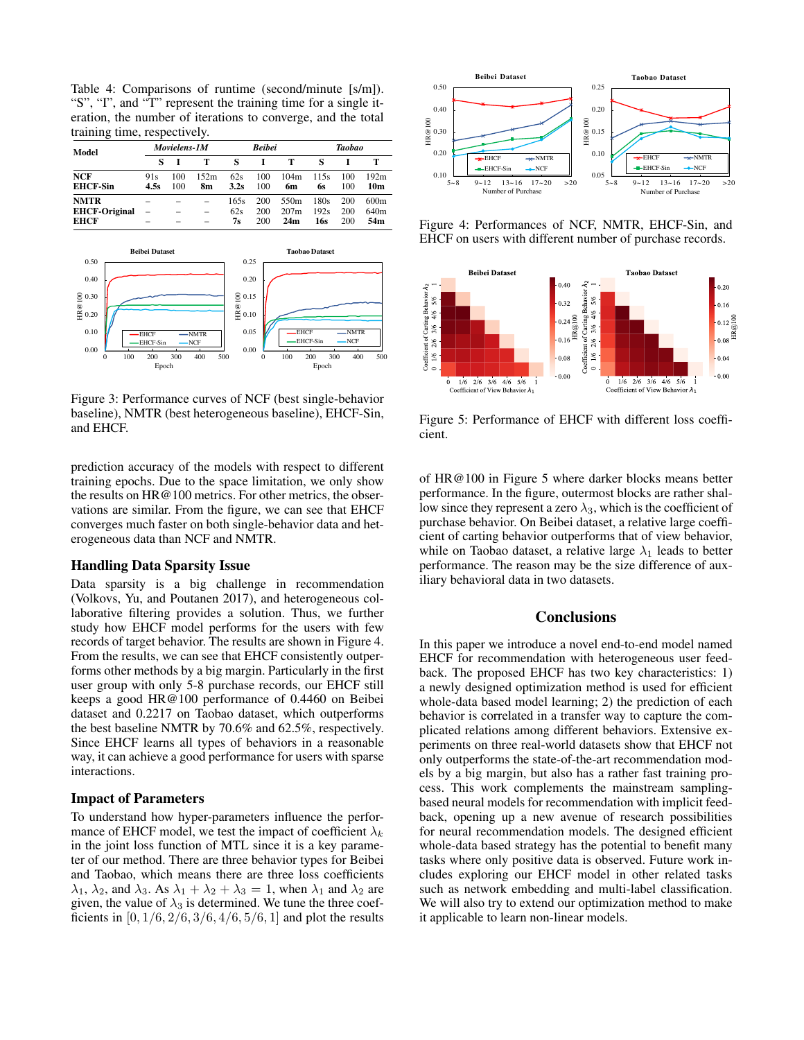Table 4: Comparisons of runtime (second/minute [s/m]). "S", "I", and "T" represent the training time for a single iteration, the number of iterations to converge, and the total training time, respectively.

| Model                                              | Movielens-1M |            |                          | <b>Beibei</b>     |                   |                                 | Taobao              |                   |                                             |
|----------------------------------------------------|--------------|------------|--------------------------|-------------------|-------------------|---------------------------------|---------------------|-------------------|---------------------------------------------|
|                                                    |              |            | т                        | s                 |                   | т                               |                     |                   |                                             |
| <b>NCF</b><br><b>EHCF-Sin</b>                      | 91s<br>4.5s  | 100<br>100 | 152m<br>8m               | 62s<br>3.2s       | 100<br>100        | 104m<br>6m                      | 115s<br>6s          | 100<br>100        | 192m<br>10m                                 |
| <b>NMTR</b><br><b>EHCF-Original</b><br><b>EHCF</b> |              |            | $\overline{\phantom{0}}$ | 165s<br>62s<br>7s | 200<br>200<br>200 | 550 <sub>m</sub><br>207m<br>24m | 180s<br>192s<br>16s | 200<br>200<br>200 | 600 <sub>m</sub><br>640 <sub>m</sub><br>54m |



Figure 3: Performance curves of NCF (best single-behavior baseline), NMTR (best heterogeneous baseline), EHCF-Sin, and EHCF.

prediction accuracy of the models with respect to different training epochs. Due to the space limitation, we only show the results on HR@100 metrics. For other metrics, the observations are similar. From the figure, we can see that EHCF converges much faster on both single-behavior data and heterogeneous data than NCF and NMTR.

#### Handling Data Sparsity Issue

Data sparsity is a big challenge in recommendation (Volkovs, Yu, and Poutanen 2017), and heterogeneous collaborative filtering provides a solution. Thus, we further study how EHCF model performs for the users with few records of target behavior. The results are shown in Figure 4. From the results, we can see that EHCF consistently outperforms other methods by a big margin. Particularly in the first user group with only 5-8 purchase records, our EHCF still keeps a good HR@100 performance of 0.4460 on Beibei dataset and 0.2217 on Taobao dataset, which outperforms the best baseline NMTR by 70.6% and 62.5%, respectively. Since EHCF learns all types of behaviors in a reasonable way, it can achieve a good performance for users with sparse interactions.

### Impact of Parameters

To understand how hyper-parameters influence the performance of EHCF model, we test the impact of coefficient  $\lambda_k$ in the joint loss function of MTL since it is a key parameter of our method. There are three behavior types for Beibei and Taobao, which means there are three loss coefficients  $\lambda_1$ ,  $\lambda_2$ , and  $\lambda_3$ . As  $\lambda_1 + \lambda_2 + \lambda_3 = 1$ , when  $\lambda_1$  and  $\lambda_2$  are given, the value of  $\lambda_3$  is determined. We tune the three coefficients in  $[0, 1/6, 2/6, 3/6, 4/6, 5/6, 1]$  and plot the results



Figure 4: Performances of NCF, NMTR, EHCF-Sin, and EHCF on users with different number of purchase records.



Figure 5: Performance of EHCF with different loss coefficient.

of HR@100 in Figure 5 where darker blocks means better performance. In the figure, outermost blocks are rather shallow since they represent a zero  $\lambda_3$ , which is the coefficient of purchase behavior. On Beibei dataset, a relative large coefficient of carting behavior outperforms that of view behavior, while on Taobao dataset, a relative large  $\lambda_1$  leads to better performance. The reason may be the size difference of auxiliary behavioral data in two datasets.

## **Conclusions**

In this paper we introduce a novel end-to-end model named EHCF for recommendation with heterogeneous user feedback. The proposed EHCF has two key characteristics: 1) a newly designed optimization method is used for efficient whole-data based model learning; 2) the prediction of each behavior is correlated in a transfer way to capture the complicated relations among different behaviors. Extensive experiments on three real-world datasets show that EHCF not only outperforms the state-of-the-art recommendation models by a big margin, but also has a rather fast training process. This work complements the mainstream samplingbased neural models for recommendation with implicit feedback, opening up a new avenue of research possibilities for neural recommendation models. The designed efficient whole-data based strategy has the potential to benefit many tasks where only positive data is observed. Future work includes exploring our EHCF model in other related tasks such as network embedding and multi-label classification. We will also try to extend our optimization method to make it applicable to learn non-linear models.